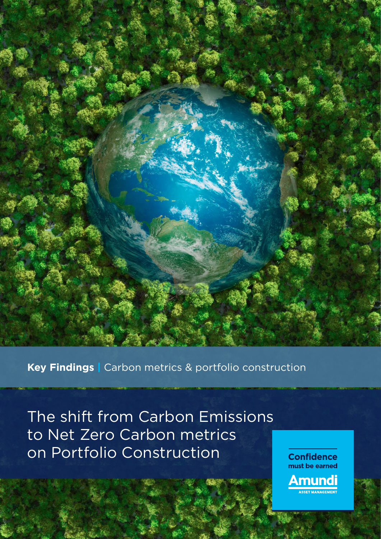

**Key Findings |** Carbon metrics & portfolio construction

The shift from Carbon Emissions to Net Zero Carbon metrics on Portfolio Construction

**Confidence** must be earned

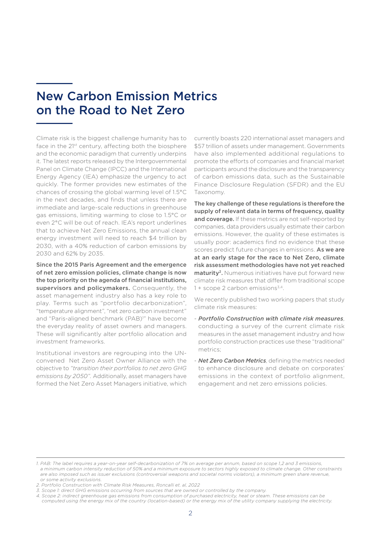# New Carbon Emission Metrics on the Road to Net Zero

Climate risk is the biggest challenge humanity has to face in the 21<sup>st</sup> century, affecting both the biosphere and the economic paradigm that currently underpins it. The latest reports released by the Intergovernmental Panel on Climate Change (IPCC) and the International Energy Agency (IEA) emphasize the urgency to act quickly. The former provides new estimates of the chances of crossing the global warming level of 1.5°C in the next decades, and finds that unless there are immediate and large-scale reductions in greenhouse gas emissions, limiting warming to close to 1.5°C or even 2°C will be out of reach. IEA's report underlines that to achieve Net Zero Emissions, the annual clean energy investment will need to reach \$4 trillion by 2030, with a 40% reduction of carbon emissions by 2030 and 62% by 2035.

Since the 2015 Paris Agreement and the emergence of net zero emission policies, climate change is now the top priority on the agenda of financial institutions, supervisors and policymakers. Consequently, the asset management industry also has a key role to play. Terms such as "portfolio decarbonization", "temperature alignment", "net zero carbon investment" and "Paris-aligned benchmark (PAB)<sup>1</sup>" have become the everyday reality of asset owners and managers. These will significantly alter portfolio allocation and investment frameworks.

Institutional investors are regrouping into the UNconvened Net Zero Asset Owner Alliance with the objective to *"transition their portfolios to net zero GHG emissions by 2050".* Additionally, asset managers have formed the Net Zero Asset Managers initiative, which currently boasts 220 international asset managers and \$57 trillion of assets under management. Governments have also implemented additional regulations to promote the efforts of companies and financial market participants around the disclosure and the transparency of carbon emissions data, such as the Sustainable Finance Disclosure Regulation (SFDR) and the EU Taxonomy.

The key challenge of these regulations is therefore the supply of relevant data in terms of frequency, quality and coverage. If these metrics are not self-reported by companies, data providers usually estimate their carbon emissions. However, the quality of these estimates is usually poor: academics find no evidence that these scores predict future changes in emissions. As we are at an early stage for the race to Net Zero, climate risk assessment methodologies have not yet reached maturity<sup>2</sup>. Numerous initiatives have put forward new climate risk measures that differ from traditional scope  $1 +$  scope 2 carbon emissions<sup>3,4</sup>.

We recently published two working papers that study climate risk measures:

- *Portfolio Construction with climate risk measures*, conducting a survey of the current climate risk measures in the asset management industry and how portfolio construction practices use these "traditional" metrics;
- *Net Zero Carbon Metrics*, defining the metrics needed to enhance disclosure and debate on corporates' emissions in the context of portfolio alignment, engagement and net zero emissions policies.

*<sup>1.</sup> PAB: The label requires a year-on-year self-decarbonization of 7% on average per annum, based on scope 1,2 and 3 emissions, a minimum carbon intensity reduction of 50% and a minimum exposure to sectors highly exposed to climate change. Other constraints*  are also imposed such as issuer exclusions (controversial weapons and societal norms violators), a minimum green share revenue, *or some activity exclusions.*

*<sup>2.</sup> Portfolio Construction with Climate Risk Measures, Roncalli et. al, 2022*

*<sup>3.</sup> Scope 1: direct GHG emissions occurring from sources that are owned or controlled by the company.*

*<sup>4.</sup> Scope 2: indirect greenhouse gas emissions from consumption of purchased electricity, heat or steam. These emissions can be computed using the energy mix of the country (location-based) or the energy mix of the utility company supplying the electricity.*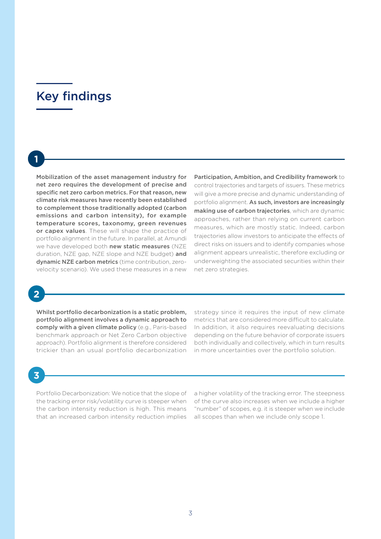# Key findings

**1**

Mobilization of the asset management industry for net zero requires the development of precise and specific net zero carbon metrics. For that reason, new climate risk measures have recently been established to complement those traditionally adopted (carbon emissions and carbon intensity), for example temperature scores, taxonomy, green revenues or capex values. These will shape the practice of portfolio alignment in the future. In parallel, at Amundi we have developed both new static measures (NZE duration, NZE gap, NZE slope and NZE budget) and dynamic NZE carbon metrics (time contribution, zerovelocity scenario). We used these measures in a new Participation, Ambition, and Credibility framework to control trajectories and targets of issuers. These metrics will give a more precise and dynamic understanding of portfolio alignment. As such, investors are increasingly making use of carbon trajectories, which are dynamic approaches, rather than relying on current carbon measures, which are mostly static. Indeed, carbon trajectories allow investors to anticipate the effects of direct risks on issuers and to identify companies whose alignment appears unrealistic, therefore excluding or underweighting the associated securities within their net zero strategies.

**2**

Whilst portfolio decarbonization is a static problem, portfolio alignment involves a dynamic approach to comply with a given climate policy (e.g., Paris-based benchmark approach or Net Zero Carbon objective approach). Portfolio alignment is therefore considered trickier than an usual portfolio decarbonization

strategy since it requires the input of new climate metrics that are considered more difficult to calculate. In addition, it also requires reevaluating decisions depending on the future behavior of corporate issuers both individually and collectively, which in turn results in more uncertainties over the portfolio solution.

# **3**

Portfolio Decarbonization: We notice that the slope of the tracking error risk/volatility curve is steeper when the carbon intensity reduction is high. This means that an increased carbon intensity reduction implies

a higher volatility of the tracking error. The steepness of the curve also increases when we include a higher "number" of scopes, e.g. it is steeper when we include all scopes than when we include only scope 1.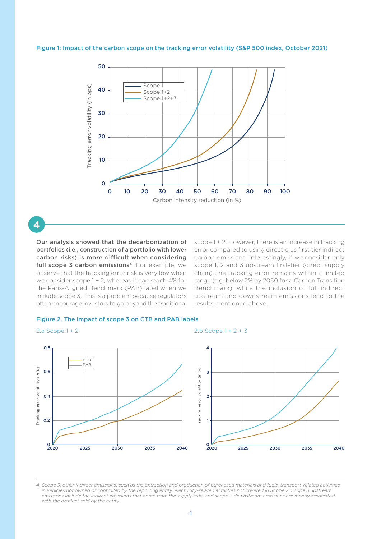## Figure 1: Impact of the carbon scope on the tracking error volatility (S&P 500 index, October 2021)



**4**

Our analysis showed that the decarbonization of portfolios (i.e., construction of a portfolio with lower carbon risks) is more difficult when considering full scope 3 carbon emissions<sup>4</sup>. For example, we observe that the tracking error risk is very low when we consider scope 1 + 2, whereas it can reach 4% for the Paris-Aligned Benchmark (PAB) label when we include scope 3. This is a problem because regulators often encourage investors to go beyond the traditional scope 1 + 2. However, there is an increase in tracking error compared to using direct plus first tier indirect carbon emissions. Interestingly, if we consider only scope 1, 2 and 3 upstream first-tier (direct supply chain), the tracking error remains within a limited range (e.g. below 2% by 2050 for a Carbon Transition Benchmark), while the inclusion of full indirect upstream and downstream emissions lead to the results mentioned above.

### Figure 2. The impact of scope 3 on CTB and PAB labels

## $2 \text{ a } \text{Scope } 1 + 2$   $2 \text{ b } \text{Scope } 1 + 2 + 3$



*4. Scope 3: other indirect emissions, such as the extraction and production of purchased materials and fuels, transport-related activities in vehicles not owned or controlled by the reporting entity, electricity-related activities not covered in Scope 2. Scope 3 upstream emissions include the indirect emissions that come from the supply side, and scope 3 downstream emissions are mostly associated with the product sold by the entity.*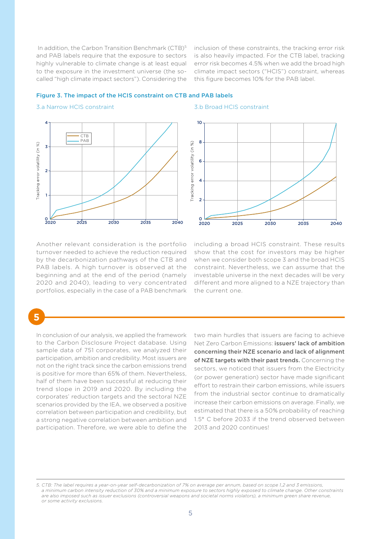In addition, the Carbon Transition Benchmark (CTB)<sup>5</sup> and PAB labels require that the exposure to sectors highly vulnerable to climate change is at least equal to the exposure in the investment universe (the socalled "high climate impact sectors"). Considering the

inclusion of these constraints, the tracking error risk is also heavily impacted. For the CTB label, tracking error risk becomes 4.5% when we add the broad high climate impact sectors ("HCIS") constraint, whereas this figure becomes 10% for the PAB label.

## Figure 3. The impact of the HCIS constraint on CTB and PAB labels



#### 3.a Narrow HCIS constraint 3.b Broad HCIS constraint



Another relevant consideration is the portfolio turnover needed to achieve the reduction required by the decarbonization pathways of the CTB and PAB labels. A high turnover is observed at the beginning and at the end of the period (namely 2020 and 2040), leading to very concentrated portfolios, especially in the case of a PAB benchmark including a broad HCIS constraint. These results show that the cost for investors may be higher when we consider both scope 3 and the broad HCIS constraint. Nevertheless, we can assume that the investable universe in the next decades will be very different and more aligned to a NZE trajectory than the current one.

# **5**

In conclusion of our analysis, we applied the framework to the Carbon Disclosure Project database. Using sample data of 751 corporates, we analyzed their participation, ambition and credibility. Most issuers are not on the right track since the carbon emissions trend is positive for more than 65% of them. Nevertheless, half of them have been successful at reducing their trend slope in 2019 and 2020. By including the corporates' reduction targets and the sectoral NZE scenarios provided by the IEA, we observed a positive correlation between participation and credibility, but a strong negative correlation between ambition and participation. Therefore, we were able to define the

two main hurdles that issuers are facing to achieve Net Zero Carbon Emissions: issuers' lack of ambition concerning their NZE scenario and lack of alignment of NZE targets with their past trends. Concerning the sectors, we noticed that issuers from the Electricity (or power generation) sector have made significant effort to restrain their carbon emissions, while issuers from the industrial sector continue to dramatically increase their carbon emissions on average. Finally, we estimated that there is a 50% probability of reaching 1.5° C before 2033 if the trend observed between 2013 and 2020 continues!

*<sup>5.</sup> CTB: The label requires a year-on-year self-decarbonization of 7% on average per annum, based on scope 1,2 and 3 emissions, a minimum carbon intensity reduction of 30% and a minimum exposure to sectors highly exposed to climate change. Other constraints are also imposed such as issuer exclusions (controversial weapons and societal norms violators), a minimum green share revenue, or some activity exclusions.*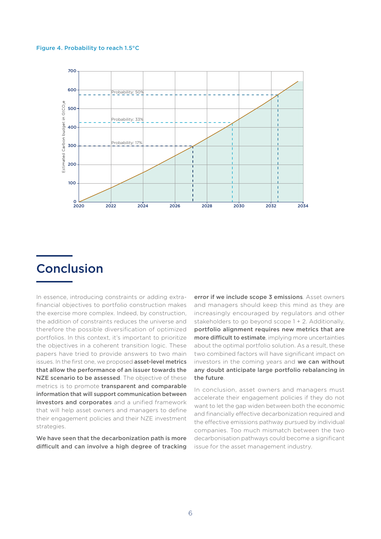## Figure 4. Probability to reach 1.5°C



# Conclusion

In essence, introducing constraints or adding extrafinancial objectives to portfolio construction makes the exercise more complex. Indeed, by construction, the addition of constraints reduces the universe and therefore the possible diversification of optimized portfolios. In this context, it's important to prioritize the objectives in a coherent transition logic. These papers have tried to provide answers to two main issues. In the first one, we proposed asset-level metrics that allow the performance of an issuer towards the NZE scenario to be assessed. The objective of these metrics is to promote transparent and comparable information that will support communication between investors and corporates and a unified framework that will help asset owners and managers to define their engagement policies and their NZE investment strategies.

We have seen that the decarbonization path is more difficult and can involve a high degree of tracking

error if we include scope 3 emissions. Asset owners and managers should keep this mind as they are increasingly encouraged by regulators and other stakeholders to go beyond scope 1 + 2. Additionally, portfolio alignment requires new metrics that are more difficult to estimate, implying more uncertainties about the optimal portfolio solution. As a result, these two combined factors will have significant impact on investors in the coming years and we can without any doubt anticipate large portfolio rebalancing in the future.

In conclusion, asset owners and managers must accelerate their engagement policies if they do not want to let the gap widen between both the economic and financially effective decarbonization required and the effective emissions pathway pursued by individual companies. Too much mismatch between the two decarbonisation pathways could become a significant issue for the asset management industry.